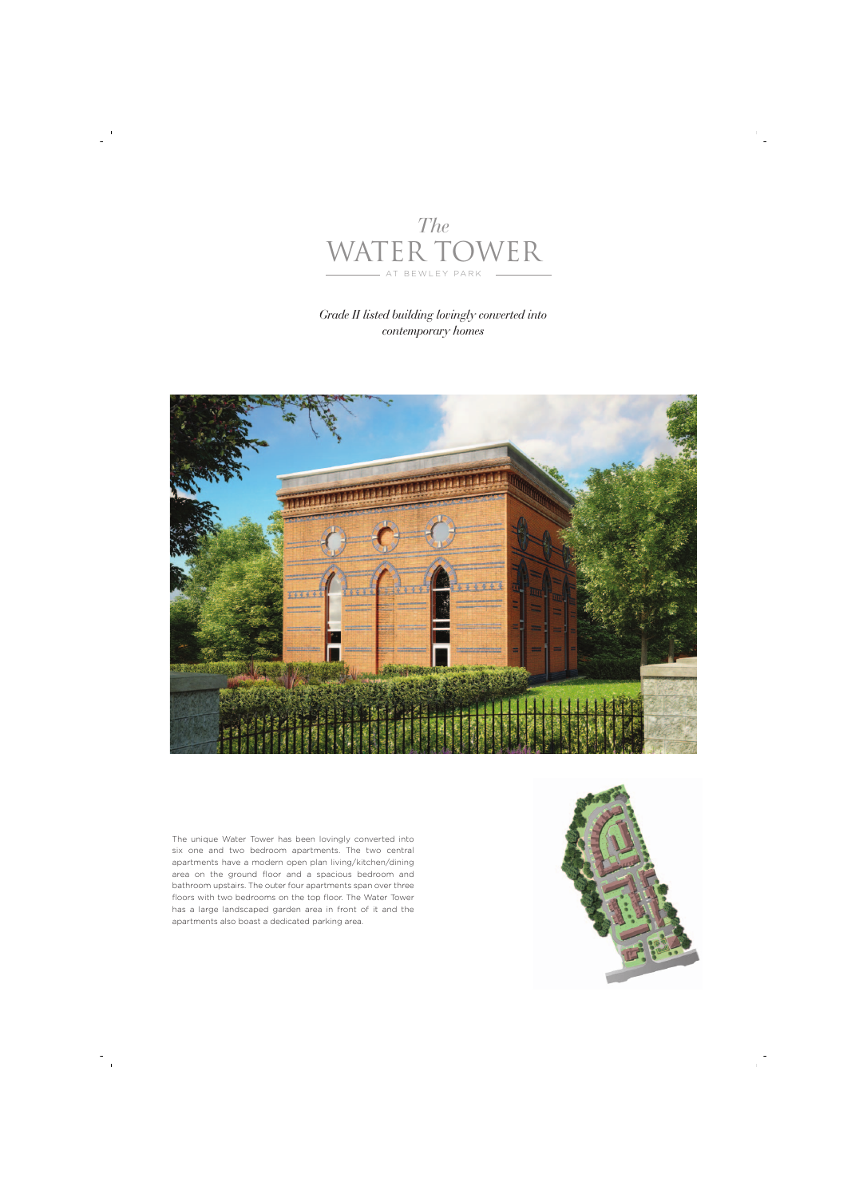

## *Grade II listed building lovingly converted into contemporary homes*



The unique Water Tower has been lovingly converted into six one and two bedroom apartments. The two central apartments have a modern open plan living/kitchen/dining area on the ground floor and a spacious bedroom and bathroom upstairs. The outer four apartments span over three floors with two bedrooms on the top floor. The Water Tower has a large landscaped garden area in front of it and the apartments also boast a dedicated parking area.